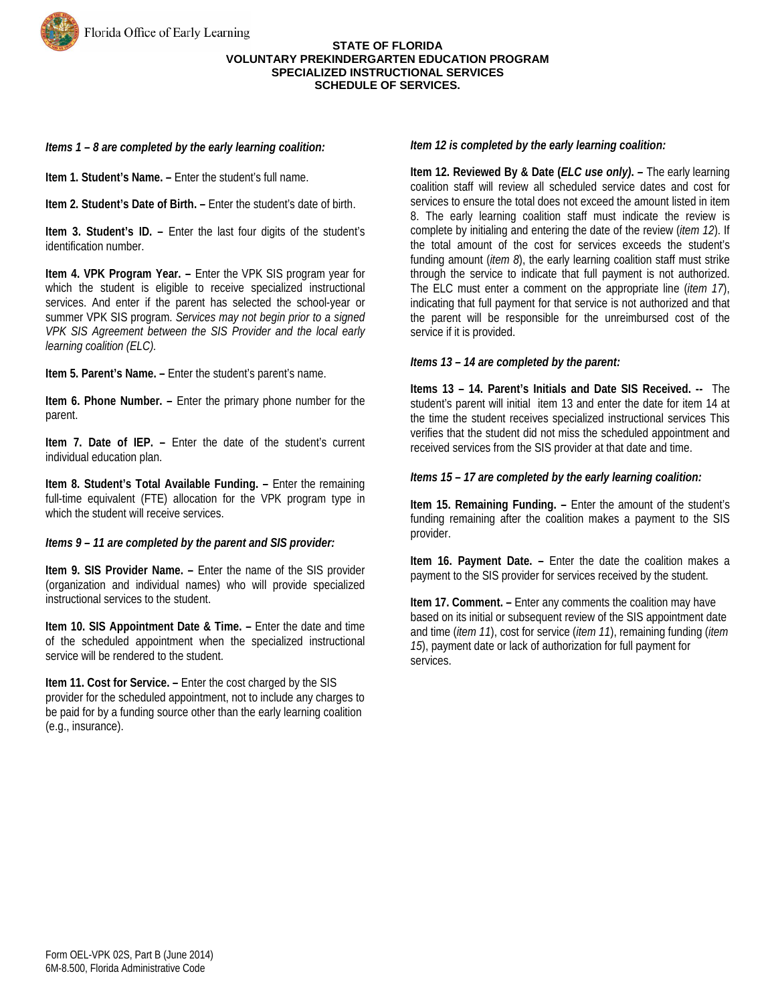#### **STATE OF FLORIDA VOLUNTARY PREKINDERGARTEN EDUCATION PROGRAM SPECIALIZED INSTRUCTIONAL SERVICES SCHEDULE OF SERVICES.**

# *Items 1 – 8 are completed by the early learning coalition:*

**Item 1. Student's Name. –** Enter the student's full name.

**Item 2. Student's Date of Birth. –** Enter the student's date of birth.

**Item 3. Student's ID. –** Enter the last four digits of the student's identification number.

**Item 4. VPK Program Year. –** Enter the VPK SIS program year for which the student is eligible to receive specialized instructional services. And enter if the parent has selected the school-year or summer VPK SIS program. *Services may not begin prior to a signed VPK SIS Agreement between the SIS Provider and the local early learning coalition (ELC).*

**Item 5. Parent's Name. –** Enter the student's parent's name.

**Item 6. Phone Number. –** Enter the primary phone number for the parent.

**Item 7. Date of IEP. –** Enter the date of the student's current individual education plan.

**Item 8. Student's Total Available Funding. –** Enter the remaining full-time equivalent (FTE) allocation for the VPK program type in which the student will receive services.

# *Items 9 – 11 are completed by the parent and SIS provider:*

**Item 9. SIS Provider Name. –** Enter the name of the SIS provider (organization and individual names) who will provide specialized instructional services to the student.

**Item 10. SIS Appointment Date & Time. –** Enter the date and time of the scheduled appointment when the specialized instructional service will be rendered to the student.

**Item 11. Cost for Service. –** Enter the cost charged by the SIS provider for the scheduled appointment, not to include any charges to be paid for by a funding source other than the early learning coalition (e.g., insurance).

## *Item 12 is completed by the early learning coalition:*

**Item 12. Reviewed By & Date (***ELC use only)***.** *–* The early learning coalition staff will review all scheduled service dates and cost for services to ensure the total does not exceed the amount listed in item 8. The early learning coalition staff must indicate the review is complete by initialing and entering the date of the review (*item 12*). If the total amount of the cost for services exceeds the student's funding amount (*item 8*), the early learning coalition staff must strike through the service to indicate that full payment is not authorized. The ELC must enter a comment on the appropriate line (*item 17*), indicating that full payment for that service is not authorized and that the parent will be responsible for the unreimbursed cost of the service if it is provided.

### *Items 13 – 14 are completed by the parent:*

**Items 13 – 14. Parent's Initials and Date SIS Received. --** The student's parent will initial item 13 and enter the date for item 14 at the time the student receives specialized instructional services This verifies that the student did not miss the scheduled appointment and received services from the SIS provider at that date and time.

# *Items 15 – 17 are completed by the early learning coalition:*

**Item 15. Remaining Funding. –** Enter the amount of the student's funding remaining after the coalition makes a payment to the SIS provider.

**Item 16. Payment Date. –** Enter the date the coalition makes a payment to the SIS provider for services received by the student.

**Item 17. Comment. –** Enter any comments the coalition may have based on its initial or subsequent review of the SIS appointment date and time (*item 11*), cost for service (*item 11*), remaining funding (*item 15*), payment date or lack of authorization for full payment for services.